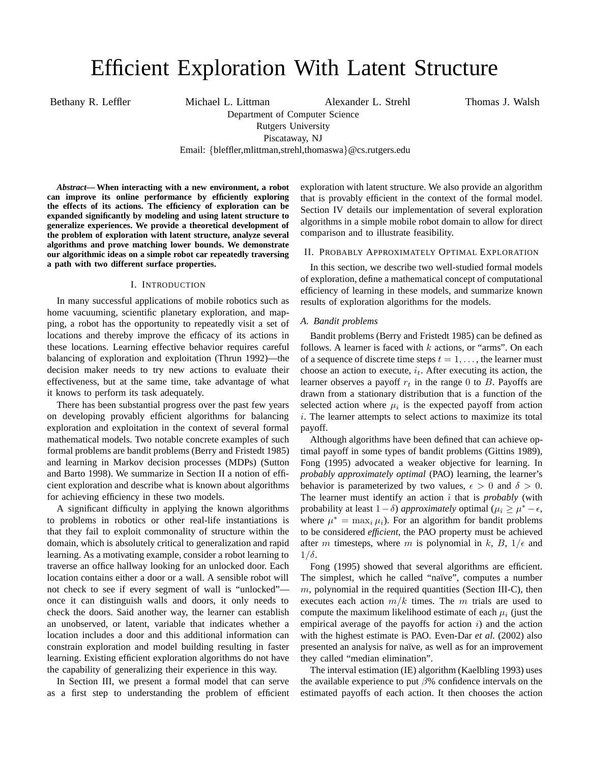# Efficient Exploration With Latent Structure

Bethany R. Leffler Michael L. Littman Alexander L. Strehl Thomas J. Walsh

Department of Computer Science Rutgers University

Piscataway, NJ

Email: {bleffler,mlittman,strehl,thomaswa}@cs.rutgers.edu

*Abstract***— When interacting with a new environment, a robot can improve its online performance by efficiently exploring the effects of its actions. The efficiency of exploration can be expanded significantly by modeling and using latent structure to generalize experiences. We provide a theoretical development of the problem of exploration with latent structure, analyze several algorithms and prove matching lower bounds. We demonstrate our algorithmic ideas on a simple robot car repeatedly traversing a path with two different surface properties.**

## I. INTRODUCTION

In many successful applications of mobile robotics such as home vacuuming, scientific planetary exploration, and mapping, a robot has the opportunity to repeatedly visit a set of locations and thereby improve the efficacy of its actions in these locations. Learning effective behavior requires careful balancing of exploration and exploitation (Thrun 1992)—the decision maker needs to try new actions to evaluate their effectiveness, but at the same time, take advantage of what it knows to perform its task adequately.

There has been substantial progress over the past few years on developing provably efficient algorithms for balancing exploration and exploitation in the context of several formal mathematical models. Two notable concrete examples of such formal problems are bandit problems (Berry and Fristedt 1985) and learning in Markov decision processes (MDPs) (Sutton and Barto 1998). We summarize in Section II a notion of efficient exploration and describe what is known about algorithms for achieving efficiency in these two models.

A significant difficulty in applying the known algorithms to problems in robotics or other real-life instantiations is that they fail to exploit commonality of structure within the domain, which is absolutely critical to generalization and rapid learning. As a motivating example, consider a robot learning to traverse an office hallway looking for an unlocked door. Each location contains either a door or a wall. A sensible robot will not check to see if every segment of wall is "unlocked" once it can distinguish walls and doors, it only needs to check the doors. Said another way, the learner can establish an unobserved, or latent, variable that indicates whether a location includes a door and this additional information can constrain exploration and model building resulting in faster learning. Existing efficient exploration algorithms do not have the capability of generalizing their experience in this way.

In Section III, we present a formal model that can serve as a first step to understanding the problem of efficient exploration with latent structure. We also provide an algorithm that is provably efficient in the context of the formal model. Section IV details our implementation of several exploration algorithms in a simple mobile robot domain to allow for direct comparison and to illustrate feasibility.

# II. PROBABLY APPROXIMATELY OPTIMAL EXPLORATION

In this section, we describe two well-studied formal models of exploration, define a mathematical concept of computational efficiency of learning in these models, and summarize known results of exploration algorithms for the models.

#### *A. Bandit problems*

Bandit problems (Berry and Fristedt 1985) can be defined as follows. A learner is faced with  $k$  actions, or "arms". On each of a sequence of discrete time steps  $t = 1, \ldots$ , the learner must choose an action to execute,  $i_t$ . After executing its action, the learner observes a payoff  $r_t$  in the range 0 to B. Payoffs are drawn from a stationary distribution that is a function of the selected action where  $\mu_i$  is the expected payoff from action i. The learner attempts to select actions to maximize its total payoff.

Although algorithms have been defined that can achieve optimal payoff in some types of bandit problems (Gittins 1989), Fong (1995) advocated a weaker objective for learning. In *probably approximately optimal* (PAO) learning, the learner's behavior is parameterized by two values,  $\epsilon > 0$  and  $\delta > 0$ . The learner must identify an action  $\hat{i}$  that is *probably* (with probability at least  $1-\delta$ ) *approximately* optimal ( $\mu_{\hat{i}} \geq \mu^* - \epsilon$ , where  $\mu^* = \max_i \mu_i$ ). For an algorithm for bandit problems to be considered *efficient*, the PAO property must be achieved after m timesteps, where m is polynomial in k, B,  $1/\epsilon$  and  $1/\delta$ .

Fong (1995) showed that several algorithms are efficient. The simplest, which he called "naïve", computes a number  $m$ , polynomial in the required quantities (Section III-C), then executes each action  $m/k$  times. The m trials are used to compute the maximum likelihood estimate of each  $\mu_i$  (just the empirical average of the payoffs for action  $i$ ) and the action with the highest estimate is PAO. Even-Dar *et al.* (2002) also presented an analysis for naïve, as well as for an improvement they called "median elimination".

The interval estimation (IE) algorithm (Kaelbling 1993) uses the available experience to put  $\beta$ % confidence intervals on the estimated payoffs of each action. It then chooses the action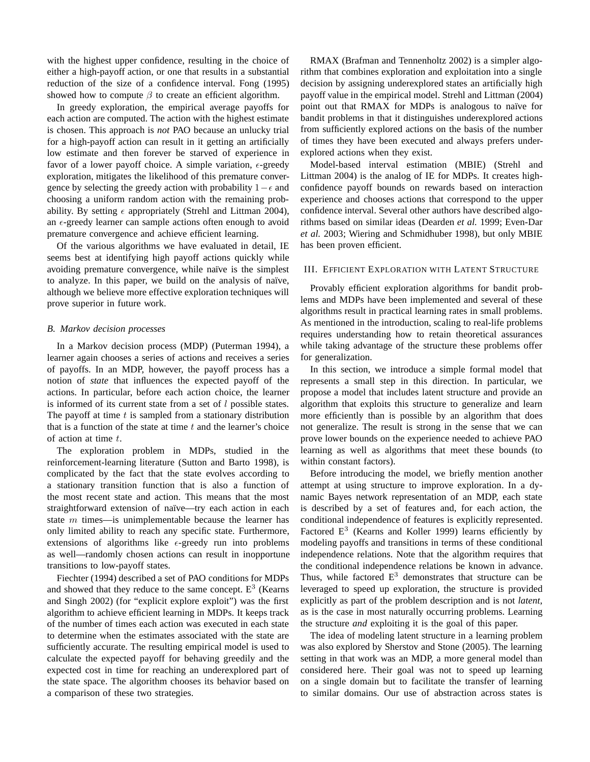with the highest upper confidence, resulting in the choice of either a high-payoff action, or one that results in a substantial reduction of the size of a confidence interval. Fong (1995) showed how to compute  $\beta$  to create an efficient algorithm.

In greedy exploration, the empirical average payoffs for each action are computed. The action with the highest estimate is chosen. This approach is *not* PAO because an unlucky trial for a high-payoff action can result in it getting an artificially low estimate and then forever be starved of experience in favor of a lower payoff choice. A simple variation,  $\epsilon$ -greedy exploration, mitigates the likelihood of this premature convergence by selecting the greedy action with probability  $1-\epsilon$  and choosing a uniform random action with the remaining probability. By setting  $\epsilon$  appropriately (Strehl and Littman 2004), an  $\epsilon$ -greedy learner can sample actions often enough to avoid premature convergence and achieve efficient learning.

Of the various algorithms we have evaluated in detail, IE seems best at identifying high payoff actions quickly while avoiding premature convergence, while naïve is the simplest to analyze. In this paper, we build on the analysis of naïve, although we believe more effective exploration techniques will prove superior in future work.

## *B. Markov decision processes*

In a Markov decision process (MDP) (Puterman 1994), a learner again chooses a series of actions and receives a series of payoffs. In an MDP, however, the payoff process has a notion of *state* that influences the expected payoff of the actions. In particular, before each action choice, the learner is informed of its current state from a set of  $l$  possible states. The payoff at time  $t$  is sampled from a stationary distribution that is a function of the state at time  $t$  and the learner's choice of action at time t.

The exploration problem in MDPs, studied in the reinforcement-learning literature (Sutton and Barto 1998), is complicated by the fact that the state evolves according to a stationary transition function that is also a function of the most recent state and action. This means that the most straightforward extension of naïve—try each action in each state  $m$  times—is unimplementable because the learner has only limited ability to reach any specific state. Furthermore, extensions of algorithms like  $\epsilon$ -greedy run into problems as well—randomly chosen actions can result in inopportune transitions to low-payoff states.

Fiechter (1994) described a set of PAO conditions for MDPs and showed that they reduce to the same concept.  $E<sup>3</sup>$  (Kearns and Singh 2002) (for "explicit explore exploit") was the first algorithm to achieve efficient learning in MDPs. It keeps track of the number of times each action was executed in each state to determine when the estimates associated with the state are sufficiently accurate. The resulting empirical model is used to calculate the expected payoff for behaving greedily and the expected cost in time for reaching an underexplored part of the state space. The algorithm chooses its behavior based on a comparison of these two strategies.

RMAX (Brafman and Tennenholtz 2002) is a simpler algorithm that combines exploration and exploitation into a single decision by assigning underexplored states an artificially high payoff value in the empirical model. Strehl and Littman (2004) point out that RMAX for MDPs is analogous to naïve for bandit problems in that it distinguishes underexplored actions from sufficiently explored actions on the basis of the number of times they have been executed and always prefers underexplored actions when they exist.

Model-based interval estimation (MBIE) (Strehl and Littman 2004) is the analog of IE for MDPs. It creates highconfidence payoff bounds on rewards based on interaction experience and chooses actions that correspond to the upper confidence interval. Several other authors have described algorithms based on similar ideas (Dearden *et al.* 1999; Even-Dar *et al.* 2003; Wiering and Schmidhuber 1998), but only MBIE has been proven efficient.

# III. EFFICIENT EXPLORATION WITH LATENT STRUCTURE

Provably efficient exploration algorithms for bandit problems and MDPs have been implemented and several of these algorithms result in practical learning rates in small problems. As mentioned in the introduction, scaling to real-life problems requires understanding how to retain theoretical assurances while taking advantage of the structure these problems offer for generalization.

In this section, we introduce a simple formal model that represents a small step in this direction. In particular, we propose a model that includes latent structure and provide an algorithm that exploits this structure to generalize and learn more efficiently than is possible by an algorithm that does not generalize. The result is strong in the sense that we can prove lower bounds on the experience needed to achieve PAO learning as well as algorithms that meet these bounds (to within constant factors).

Before introducing the model, we briefly mention another attempt at using structure to improve exploration. In a dynamic Bayes network representation of an MDP, each state is described by a set of features and, for each action, the conditional independence of features is explicitly represented. Factored  $E<sup>3</sup>$  (Kearns and Koller 1999) learns efficiently by modeling payoffs and transitions in terms of these conditional independence relations. Note that the algorithm requires that the conditional independence relations be known in advance. Thus, while factored  $E<sup>3</sup>$  demonstrates that structure can be leveraged to speed up exploration, the structure is provided explicitly as part of the problem description and is not *latent*, as is the case in most naturally occurring problems. Learning the structure *and* exploiting it is the goal of this paper.

The idea of modeling latent structure in a learning problem was also explored by Sherstov and Stone (2005). The learning setting in that work was an MDP, a more general model than considered here. Their goal was not to speed up learning on a single domain but to facilitate the transfer of learning to similar domains. Our use of abstraction across states is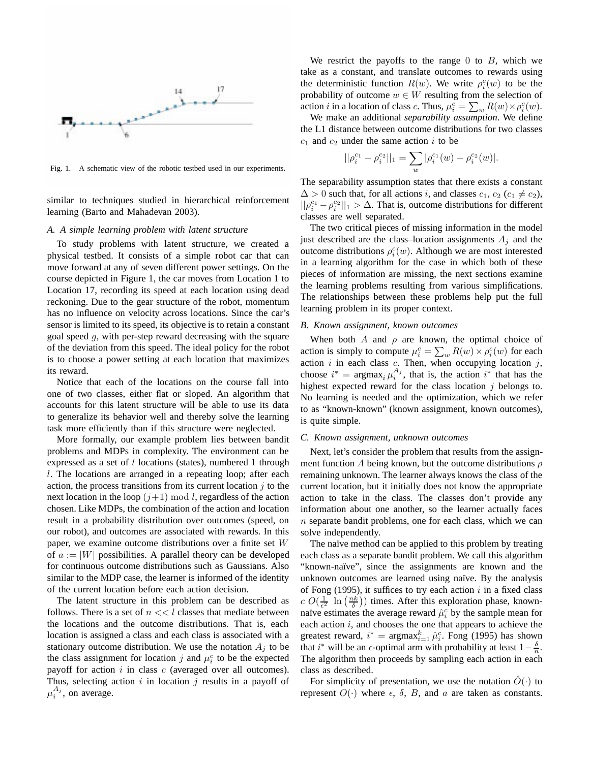

Fig. 1. A schematic view of the robotic testbed used in our experiments.

similar to techniques studied in hierarchical reinforcement learning (Barto and Mahadevan 2003).

#### *A. A simple learning problem with latent structure*

To study problems with latent structure, we created a physical testbed. It consists of a simple robot car that can move forward at any of seven different power settings. On the course depicted in Figure 1, the car moves from Location 1 to Location 17, recording its speed at each location using dead reckoning. Due to the gear structure of the robot, momentum has no influence on velocity across locations. Since the car's sensor is limited to its speed, its objective is to retain a constant goal speed g, with per-step reward decreasing with the square of the deviation from this speed. The ideal policy for the robot is to choose a power setting at each location that maximizes its reward.

Notice that each of the locations on the course fall into one of two classes, either flat or sloped. An algorithm that accounts for this latent structure will be able to use its data to generalize its behavior well and thereby solve the learning task more efficiently than if this structure were neglected.

More formally, our example problem lies between bandit problems and MDPs in complexity. The environment can be expressed as a set of  $l$  locations (states), numbered 1 through l. The locations are arranged in a repeating loop; after each action, the process transitions from its current location  $j$  to the next location in the loop  $(j+1) \mod l$ , regardless of the action chosen. Like MDPs, the combination of the action and location result in a probability distribution over outcomes (speed, on our robot), and outcomes are associated with rewards. In this paper, we examine outcome distributions over a finite set W of  $a := |W|$  possibilities. A parallel theory can be developed for continuous outcome distributions such as Gaussians. Also similar to the MDP case, the learner is informed of the identity of the current location before each action decision.

The latent structure in this problem can be described as follows. There is a set of  $n \ll l$  classes that mediate between the locations and the outcome distributions. That is, each location is assigned a class and each class is associated with a stationary outcome distribution. We use the notation  $A_i$  to be the class assignment for location j and  $\mu_i^c$  to be the expected<br>payoff for action i in class c (averaged over all outcomes) payoff for action i in class  $c$  (averaged over all outcomes). Thus, selecting action  $i$  in location  $j$  results in a payoff of  $\mu_i^{A_j}$ , on average.

We restrict the payoffs to the range 0 to  $B$ , which we take as a constant, and translate outcomes to rewards using the deterministic function  $R(w)$ . We write  $\rho_i^c(w)$  to be the probability of outcome  $w \in W$  resulting from the selection of probability of outcome  $w \in W$  resulting from the selection of action *i* in a location of class *c*. Thus,  $\mu_i^c = \sum_w R(w) \times \rho_i^c(w)$ .<br>We make an additional *senarghility assumption*. We define

We make an additional *separability assumption*. We define the L1 distance between outcome distributions for two classes  $c_1$  and  $c_2$  under the same action i to be

$$
||\rho_i^{c_1}-\rho_i^{c_2}||_1=\sum_w |\rho_i^{c_1}(w)-\rho_i^{c_2}(w)|.
$$

The separability assumption states that there exists a constant  $\Delta > 0$  such that, for all actions *i*, and classes  $c_1, c_2$  ( $c_1 \neq c_2$ ),  $\|\rho_i^{c_1} - \rho_i^{c_2}\|_1 > \Delta$ . That is, outcome distributions for different classes are well separated classes are well separated.

The two critical pieces of missing information in the model just described are the class–location assignments  $A_i$  and the outcome distributions  $ρ<sub>i</sub><sup>c</sup>(w)$ . Although we are most interested<br>in a learning algorithm for the case in which both of these in a learning algorithm for the case in which both of these pieces of information are missing, the next sections examine the learning problems resulting from various simplifications. The relationships between these problems help put the full learning problem in its proper context.

#### *B. Known assignment, known outcomes*

When both A and  $\rho$  are known, the optimal choice of action is simply to compute  $\mu_i^c = \sum_w R(w) \times \rho_i^c(w)$  for each action is in each class c. Then when occupying location is action  $i$  in each class  $c$ . Then, when occupying location  $j$ , choose  $i^* = \arg \max_i \mu_i^{A_j}$ , that is, the action  $i^*$  that has the highest expected reward for the class location i belongs to highest expected reward for the class location  $j$  belongs to. No learning is needed and the optimization, which we refer to as "known-known" (known assignment, known outcomes), is quite simple.

## *C. Known assignment, unknown outcomes*

Next, let's consider the problem that results from the assignment function A being known, but the outcome distributions  $\rho$ remaining unknown. The learner always knows the class of the current location, but it initially does not know the appropriate action to take in the class. The classes don't provide any information about one another, so the learner actually faces  $n$  separate bandit problems, one for each class, which we can solve independently.

The naïve method can be applied to this problem by treating each class as a separate bandit problem. We call this algorithm "known-naïve", since the assignments are known and the unknown outcomes are learned using naïve. By the analysis of Fong (1995), it suffices to try each action  $i$  in a fixed class  $c O(\frac{1}{\epsilon^2} \ln \left( \frac{nk}{\delta} \right))$  times. After this exploration phase, known-<br>naïve estimates the average reward  $\hat{u}^c$  by the sample mean for naïve estimates the average reward  $\hat{\mu}_i^c$  by the sample mean for each action is and chooses the one that appears to achieve the each action  $i$ , and chooses the one that appears to achieve the greatest reward,  $i^* = \arg \max_{i=1}^k \hat{\mu}_i^c$ . Fong (1995) has shown<br>that  $i^*$  will be an  $\epsilon$  ontimal arm with probability at least  $1 - \frac{\delta}{\epsilon}$ that i<sup>\*</sup> will be an  $\epsilon$ -optimal arm with probability at least  $1-\frac{\delta}{n}$ .<br>The algorithm then proceeds by sampling each action in each The algorithm then proceeds by sampling each action in each class as described.

For simplicity of presentation, we use the notation  $\tilde{O}(\cdot)$  to represent  $O(\cdot)$  where  $\epsilon$ ,  $\delta$ ,  $B$ , and  $\alpha$  are taken as constants.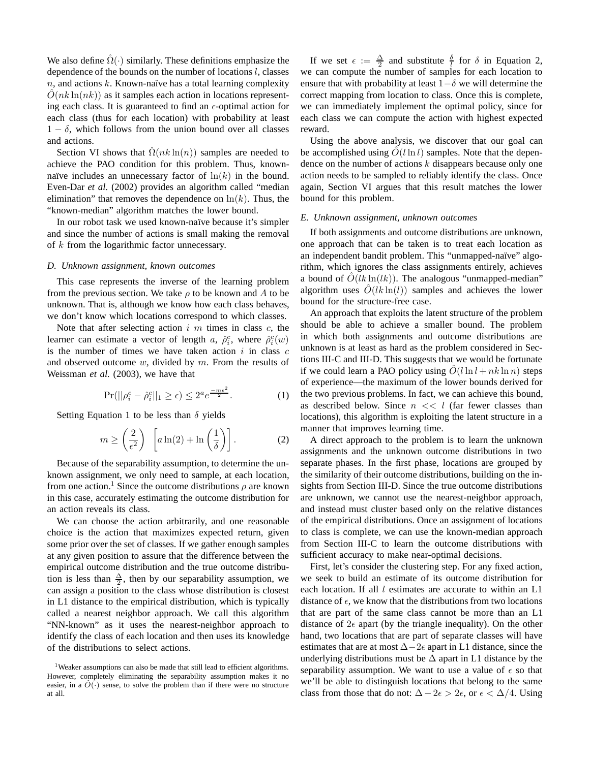We also define  $\Omega(\cdot)$  similarly. These definitions emphasize the dependence of the bounds on the number of locations  $l$ , classes  $n$ , and actions k. Known-naïve has a total learning complexity  $\tilde{O}(nk \ln(nk))$  as it samples each action in locations representing each class. It is guaranteed to find an  $\epsilon$ -optimal action for each class (thus for each location) with probability at least  $1 - \delta$ , which follows from the union bound over all classes and actions.

Section VI shows that  $\hat{\Omega}(nk \ln(n))$  samples are needed to achieve the PAO condition for this problem. Thus, knownnaïve includes an unnecessary factor of  $ln(k)$  in the bound. Even-Dar *et al.* (2002) provides an algorithm called "median elimination" that removes the dependence on  $\ln(k)$ . Thus, the "known-median" algorithm matches the lower bound.

In our robot task we used known-naïve because it's simpler and since the number of actions is small making the removal of k from the logarithmic factor unnecessary.

#### *D. Unknown assignment, known outcomes*

This case represents the inverse of the learning problem from the previous section. We take  $\rho$  to be known and A to be unknown. That is, although we know how each class behaves, we don't know which locations correspond to which classes.

Note that after selecting action  $i$  m times in class  $c$ , the learner can estimate a vector of length a,  $\hat{\rho}_i^c$ , where  $\hat{\rho}_i^c(w)$  is the number of times we have taken action *i* in class c is the number of times we have taken action  $i$  in class  $c$ and observed outcome  $w$ , divided by  $m$ . From the results of Weissman *et al.* (2003), we have that

$$
\Pr(||\rho_i^c - \hat{\rho}_i^c||_1 \ge \epsilon) \le 2^a e^{\frac{-m\epsilon^2}{2}}.
$$
 (1)

Setting Equation 1 to be less than  $\delta$  yields

$$
m \ge \left(\frac{2}{\epsilon^2}\right) \left[ a \ln(2) + \ln\left(\frac{1}{\delta}\right) \right].
$$
 (2)

Because of the separability assumption, to determine the unknown assignment, we only need to sample, at each location, from one action.<sup>1</sup> Since the outcome distributions  $\rho$  are known in this case, accurately estimating the outcome distribution for an action reveals its class.

We can choose the action arbitrarily, and one reasonable choice is the action that maximizes expected return, given some prior over the set of classes. If we gather enough samples at any given position to assure that the difference between the empirical outcome distribution and the true outcome distribution is less than  $\frac{\Delta}{2}$ , then by our separability assumption, we can assign a position to the class whose distribution is closest in L1 distance to the empirical distribution, which is typically called a nearest neighbor approach. We call this algorithm "NN-known" as it uses the nearest-neighbor approach to identify the class of each location and then uses its knowledge of the distributions to select actions.

If we set  $\epsilon := \frac{\Delta}{2}$  and substitute  $\frac{\delta}{l}$  for  $\delta$  in Equation 2, we can compute the number of samples for each location to ensure that with probability at least  $1-\delta$  we will determine the correct mapping from location to class. Once this is complete, we can immediately implement the optimal policy, since for each class we can compute the action with highest expected reward.

Using the above analysis, we discover that our goal can be accomplished using  $\ddot{O}(l \ln l)$  samples. Note that the dependence on the number of actions  $k$  disappears because only one action needs to be sampled to reliably identify the class. Once again, Section VI argues that this result matches the lower bound for this problem.

#### *E. Unknown assignment, unknown outcomes*

If both assignments and outcome distributions are unknown, one approach that can be taken is to treat each location as an independent bandit problem. This "unmapped-naïve" algorithm, which ignores the class assignments entirely, achieves a bound of  $O(lk \ln(lk))$ . The analogous "unmapped-median" algorithm uses  $\hat{O}(lk \ln(l))$  samples and achieves the lower bound for the structure-free case.

An approach that exploits the latent structure of the problem should be able to achieve a smaller bound. The problem in which both assignments and outcome distributions are unknown is at least as hard as the problem considered in Sections III-C and III-D. This suggests that we would be fortunate if we could learn a PAO policy using  $\hat{O}(l \ln l + nk \ln n)$  steps of experience—the maximum of the lower bounds derived for the two previous problems. In fact, we can achieve this bound, as described below. Since  $n \ll l$  (far fewer classes than locations), this algorithm is exploiting the latent structure in a manner that improves learning time.

A direct approach to the problem is to learn the unknown assignments and the unknown outcome distributions in two separate phases. In the first phase, locations are grouped by the similarity of their outcome distributions, building on the insights from Section III-D. Since the true outcome distributions are unknown, we cannot use the nearest-neighbor approach, and instead must cluster based only on the relative distances of the empirical distributions. Once an assignment of locations to class is complete, we can use the known-median approach from Section III-C to learn the outcome distributions with sufficient accuracy to make near-optimal decisions.

First, let's consider the clustering step. For any fixed action, we seek to build an estimate of its outcome distribution for each location. If all  $l$  estimates are accurate to within an  $L1$ distance of  $\epsilon$ , we know that the distributions from two locations that are part of the same class cannot be more than an L1 distance of  $2\epsilon$  apart (by the triangle inequality). On the other hand, two locations that are part of separate classes will have estimates that are at most  $\Delta-2\epsilon$  apart in L1 distance, since the underlying distributions must be  $\Delta$  apart in L1 distance by the separability assumption. We want to use a value of  $\epsilon$  so that we'll be able to distinguish locations that belong to the same class from those that do not:  $\Delta - 2\epsilon > 2\epsilon$ , or  $\epsilon < \Delta/4$ . Using

<sup>&</sup>lt;sup>1</sup>Weaker assumptions can also be made that still lead to efficient algorithms. However, completely eliminating the separability assumption makes it no easier, in a  $\tilde{O}(\cdot)$  sense, to solve the problem than if there were no structure at all.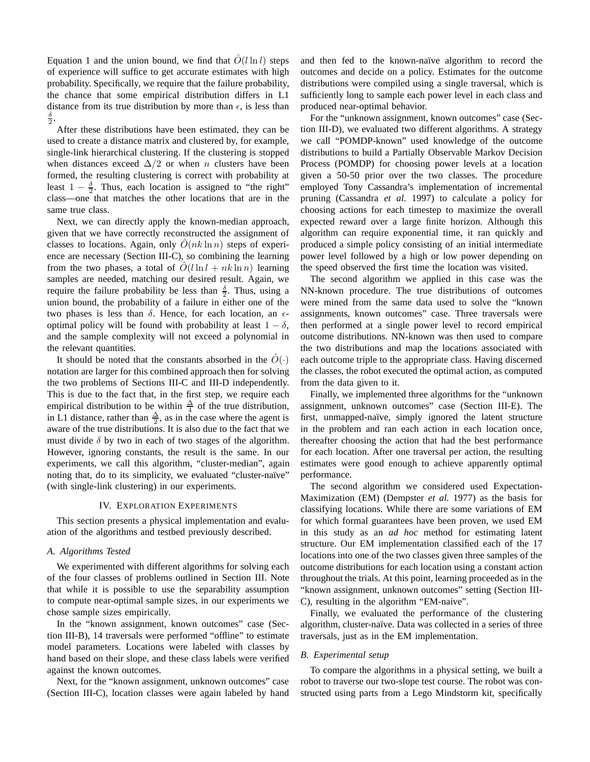Equation 1 and the union bound, we find that  $\tilde{O}(l \ln l)$  steps of experience will suffice to get accurate estimates with high probability. Specifically, we require that the failure probability, the chance that some empirical distribution differs in L1 distance from its true distribution by more than  $\epsilon$ , is less than  $\frac{\delta}{2}$ .

After these distributions have been estimated, they can be used to create a distance matrix and clustered by, for example, single-link hierarchical clustering. If the clustering is stopped when distances exceed  $\Delta/2$  or when n clusters have been formed, the resulting clustering is correct with probability at least  $1 - \frac{\delta}{2}$ . Thus, each location is assigned to "the right" class—one that matches the other locations that are in the same true class.

Next, we can directly apply the known-median approach, given that we have correctly reconstructed the assignment of classes to locations. Again, only  $\hat{O}(nk \ln n)$  steps of experience are necessary (Section III-C), so combining the learning from the two phases, a total of  $\hat{O}(l \ln l + nk \ln n)$  learning samples are needed, matching our desired result. Again, we require the failure probability be less than  $\frac{3}{2}$ . Thus, using a union bound, the probability of a failure in either one of the two phases is less than  $\delta$ . Hence, for each location, an  $\epsilon$ optimal policy will be found with probability at least  $1 - \delta$ , and the sample complexity will not exceed a polynomial in the relevant quantities.

It should be noted that the constants absorbed in the  $O(·)$ notation are larger for this combined approach then for solving the two problems of Sections III-C and III-D independently. This is due to the fact that, in the first step, we require each empirical distribution to be within  $\frac{\Delta}{4}$  of the true distribution, in L1 distance, rather than  $\frac{\Delta}{2}$ , as in the case where the agent is aware of the true distributions. It is also due to the fact that we must divide  $\delta$  by two in each of two stages of the algorithm. However, ignoring constants, the result is the same. In our experiments, we call this algorithm, "cluster-median", again noting that, do to its simplicity, we evaluated "cluster-naïve" (with single-link clustering) in our experiments.

#### IV. EXPLORATION EXPERIMENTS

This section presents a physical implementation and evaluation of the algorithms and testbed previously described.

# *A. Algorithms Tested*

We experimented with different algorithms for solving each of the four classes of problems outlined in Section III. Note that while it is possible to use the separability assumption to compute near-optimal sample sizes, in our experiments we chose sample sizes empirically.

In the "known assignment, known outcomes" case (Section III-B), 14 traversals were performed "offline" to estimate model parameters. Locations were labeled with classes by hand based on their slope, and these class labels were verified against the known outcomes.

Next, for the "known assignment, unknown outcomes" case (Section III-C), location classes were again labeled by hand

and then fed to the known-naïve algorithm to record the outcomes and decide on a policy. Estimates for the outcome distributions were compiled using a single traversal, which is sufficiently long to sample each power level in each class and produced near-optimal behavior.

For the "unknown assignment, known outcomes" case (Section III-D), we evaluated two different algorithms. A strategy we call "POMDP-known" used knowledge of the outcome distributions to build a Partially Observable Markov Decision Process (POMDP) for choosing power levels at a location given a 50-50 prior over the two classes. The procedure employed Tony Cassandra's implementation of incremental pruning (Cassandra *et al.* 1997) to calculate a policy for choosing actions for each timestep to maximize the overall expected reward over a large finite horizon. Although this algorithm can require exponential time, it ran quickly and produced a simple policy consisting of an initial intermediate power level followed by a high or low power depending on the speed observed the first time the location was visited.

The second algorithm we applied in this case was the NN-known procedure. The true distributions of outcomes were mined from the same data used to solve the "known assignments, known outcomes" case. Three traversals were then performed at a single power level to record empirical outcome distributions. NN-known was then used to compare the two distributions and map the locations associated with each outcome triple to the appropriate class. Having discerned the classes, the robot executed the optimal action, as computed from the data given to it.

Finally, we implemented three algorithms for the "unknown assignment, unknown outcomes" case (Section III-E). The first, unmapped-naïve, simply ignored the latent structure in the problem and ran each action in each location once, thereafter choosing the action that had the best performance for each location. After one traversal per action, the resulting estimates were good enough to achieve apparently optimal performance.

The second algorithm we considered used Expectation-Maximization (EM) (Dempster *et al.* 1977) as the basis for classifying locations. While there are some variations of EM for which formal guarantees have been proven, we used EM in this study as an *ad hoc* method for estimating latent structure. Our EM implementation classified each of the 17 locations into one of the two classes given three samples of the outcome distributions for each location using a constant action throughout the trials. At this point, learning proceeded as in the "known assignment, unknown outcomes" setting (Section III-C), resulting in the algorithm "EM-naive".

Finally, we evaluated the performance of the clustering algorithm, cluster-naïve. Data was collected in a series of three traversals, just as in the EM implementation.

# *B. Experimental setup*

To compare the algorithms in a physical setting, we built a robot to traverse our two-slope test course. The robot was constructed using parts from a Lego Mindstorm kit, specifically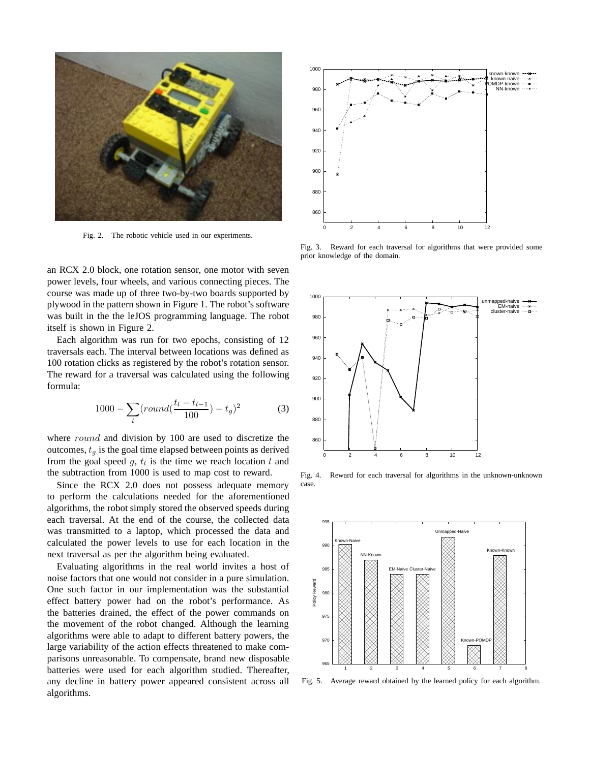

Fig. 2. The robotic vehicle used in our experiments.

an RCX 2.0 block, one rotation sensor, one motor with seven power levels, four wheels, and various connecting pieces. The course was made up of three two-by-two boards supported by plywood in the pattern shown in Figure 1. The robot's software was built in the the leJOS programming language. The robot itself is shown in Figure 2.

Each algorithm was run for two epochs, consisting of 12 traversals each. The interval between locations was defined as 100 rotation clicks as registered by the robot's rotation sensor. The reward for a traversal was calculated using the following formula:

$$
1000 - \sum_{l} (round(\frac{t_l - t_{l-1}}{100}) - t_g)^2
$$
 (3)

where *round* and division by 100 are used to discretize the outcomes,  $t_q$  is the goal time elapsed between points as derived from the goal speed g,  $t_l$  is the time we reach location l and the subtraction from 1000 is used to map cost to reward.

Since the RCX 2.0 does not possess adequate memory to perform the calculations needed for the aforementioned algorithms, the robot simply stored the observed speeds during each traversal. At the end of the course, the collected data was transmitted to a laptop, which processed the data and calculated the power levels to use for each location in the next traversal as per the algorithm being evaluated.

Evaluating algorithms in the real world invites a host of noise factors that one would not consider in a pure simulation. One such factor in our implementation was the substantial effect battery power had on the robot's performance. As the batteries drained, the effect of the power commands on the movement of the robot changed. Although the learning algorithms were able to adapt to different battery powers, the large variability of the action effects threatened to make comparisons unreasonable. To compensate, brand new disposable batteries were used for each algorithm studied. Thereafter, any decline in battery power appeared consistent across all algorithms.



Fig. 3. Reward for each traversal for algorithms that were provided some prior knowledge of the domain.



Fig. 4. Reward for each traversal for algorithms in the unknown-unknown case.



Fig. 5. Average reward obtained by the learned policy for each algorithm.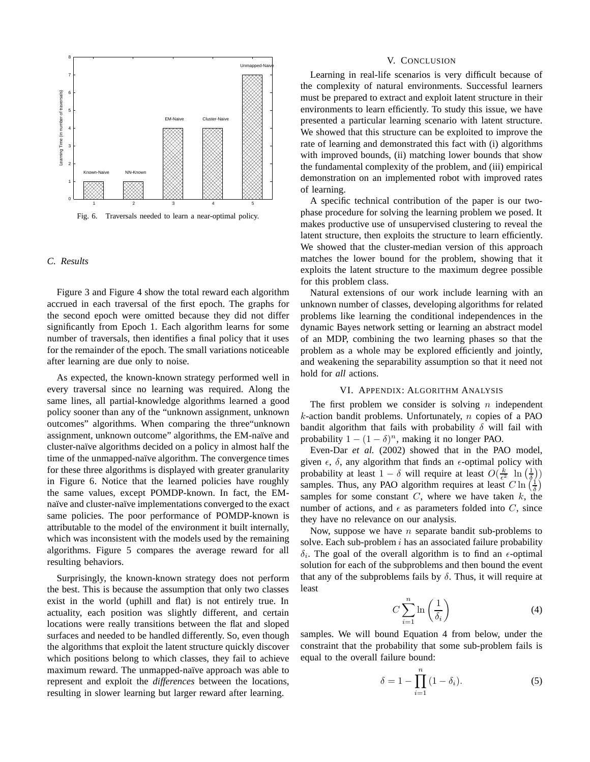

Fig. 6. Traversals needed to learn a near-optimal policy.

## *C. Results*

Figure 3 and Figure 4 show the total reward each algorithm accrued in each traversal of the first epoch. The graphs for the second epoch were omitted because they did not differ significantly from Epoch 1. Each algorithm learns for some number of traversals, then identifies a final policy that it uses for the remainder of the epoch. The small variations noticeable after learning are due only to noise.

As expected, the known-known strategy performed well in every traversal since no learning was required. Along the same lines, all partial-knowledge algorithms learned a good policy sooner than any of the "unknown assignment, unknown outcomes" algorithms. When comparing the three"unknown assignment, unknown outcome" algorithms, the EM-naïve and cluster-na¨ıve algorithms decided on a policy in almost half the time of the unmapped-naïve algorithm. The convergence times for these three algorithms is displayed with greater granularity in Figure 6. Notice that the learned policies have roughly the same values, except POMDP-known. In fact, the EMnaïve and cluster-naïve implementations converged to the exact same policies. The poor performance of POMDP-known is attributable to the model of the environment it built internally, which was inconsistent with the models used by the remaining algorithms. Figure 5 compares the average reward for all resulting behaviors.

Surprisingly, the known-known strategy does not perform the best. This is because the assumption that only two classes exist in the world (uphill and flat) is not entirely true. In actuality, each position was slightly different, and certain locations were really transitions between the flat and sloped surfaces and needed to be handled differently. So, even though the algorithms that exploit the latent structure quickly discover which positions belong to which classes, they fail to achieve maximum reward. The unmapped-naïve approach was able to represent and exploit the *differences* between the locations, resulting in slower learning but larger reward after learning.

#### V. CONCLUSION

Learning in real-life scenarios is very difficult because of the complexity of natural environments. Successful learners must be prepared to extract and exploit latent structure in their environments to learn efficiently. To study this issue, we have presented a particular learning scenario with latent structure. We showed that this structure can be exploited to improve the rate of learning and demonstrated this fact with (i) algorithms with improved bounds, (ii) matching lower bounds that show the fundamental complexity of the problem, and (iii) empirical demonstration on an implemented robot with improved rates of learning.

A specific technical contribution of the paper is our twophase procedure for solving the learning problem we posed. It makes productive use of unsupervised clustering to reveal the latent structure, then exploits the structure to learn efficiently. We showed that the cluster-median version of this approach matches the lower bound for the problem, showing that it exploits the latent structure to the maximum degree possible for this problem class.

Natural extensions of our work include learning with an unknown number of classes, developing algorithms for related problems like learning the conditional independences in the dynamic Bayes network setting or learning an abstract model of an MDP, combining the two learning phases so that the problem as a whole may be explored efficiently and jointly, and weakening the separability assumption so that it need not hold for *all* actions.

## VI. APPENDIX: ALGORITHM ANALYSIS

The first problem we consider is solving  $n$  independent  $k$ -action bandit problems. Unfortunately, n copies of a PAO bandit algorithm that fails with probability  $\delta$  will fail with probability  $1 - (1 - \delta)^n$ , making it no longer PAO.

Even-Dar *et al.* (2002) showed that in the PAO model, given  $\epsilon$ ,  $\delta$ , any algorithm that finds an  $\epsilon$ -optimal policy with probability at least  $1 - \delta$  will require at least  $O(\frac{k}{\epsilon^2} \ln(\frac{1}{\delta}))$ <br>samples Thus, any PAO algorithm requires at least  $C \ln(\frac{1}{\epsilon})$ samples. Thus, any PAO algorithm requires at least  $C \ln \left( \frac{1}{\delta} \right)$ samples for some constant  $C$ , where we have taken  $k$ , the number of actions, and  $\epsilon$  as parameters folded into C, since they have no relevance on our analysis.

Now, suppose we have *n* separate bandit sub-problems to solve. Each sub-problem  $i$  has an associated failure probability  $\delta_i$ . The goal of the overall algorithm is to find an  $\epsilon$ -optimal solution for each of the subproblems and then bound the event that any of the subproblems fails by  $\delta$ . Thus, it will require at least

$$
C\sum_{i=1}^{n}\ln\left(\frac{1}{\delta_i}\right) \tag{4}
$$

samples. We will bound Equation 4 from below, under the constraint that the probability that some sub-problem fails is equal to the overall failure bound:

$$
\delta = 1 - \prod_{i=1}^{n} (1 - \delta_i).
$$
 (5)